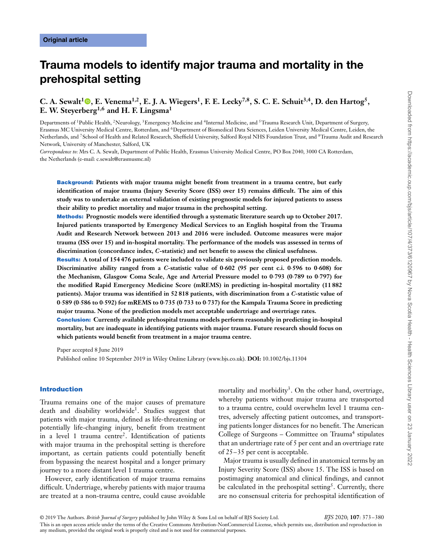# **Trauma models to identify major trauma and mortality in the prehospital setting**

## **C. A. Sewalt<sup>1</sup> <b>[,](https://orcid.org/0000-0003-3270-4814)** E. Venema<sup>1,2</sup>, E. J. A. Wiegers<sup>1</sup>, F. E. Lecky<sup>7,8</sup>, S. C. E. Schuit<sup>3,4</sup>, D. den Hartog<sup>5</sup>, **E. W. Steyerberg1,6 and H. F. Lingsma<sup>1</sup>**

Departments of <sup>1</sup>Public Health, <sup>2</sup>Neurology, <sup>3</sup>Emergency Medicine and <sup>4</sup>Internal Medicine, and <sup>5</sup>Trauma Research Unit, Department of Surgery, Erasmus MC University Medical Centre, Rotterdam, and 6Department of Biomedical Data Sciences, Leiden University Medical Centre, Leiden, the Netherlands, and <sup>7</sup>School of Health and Related Research, Sheffield University, Salford Royal NHS Foundation Trust, and <sup>8</sup>Trauma Audit and Research Network, University of Manchester, Salford, UK

*Correspondence to*: Mrs C. A. Sewalt, Department of Public Health, Erasmus University Medical Centre, PO Box 2040, 3000 CA Rotterdam, the Netherlands (e-mail: c.sewalt@erasmusmc.nl)

**Background: Patients with major trauma might benefit from treatment in a trauma centre, but early identification of major trauma (Injury Severity Score (ISS) over 15) remains difficult. The aim of this study was to undertake an external validation of existing prognostic models for injured patients to assess their ability to predict mortality and major trauma in the prehospital setting.**

**Methods: Prognostic models were identified through a systematic literature search up to October 2017. Injured patients transported by Emergency Medical Services to an English hospital from the Trauma Audit and Research Network between 2013 and 2016 were included. Outcome measures were major trauma (ISS over 15) and in-hospital mortality. The performance of the models was assessed in terms of discrimination (concordance index,** *C***-statistic) and net benefit to assess the clinical usefulness.**

**Results: A total of 154 476 patients were included to validate six previously proposed prediction models. Discriminative ability ranged from a** *C-***statistic value of 0⋅602 (95 per cent c.i. 0⋅596 to 0⋅608) for the Mechanism, Glasgow Coma Scale, Age and Arterial Pressure model to 0⋅793 (0⋅789 to 0⋅797) for the modified Rapid Emergency Medicine Score (mREMS) in predicting in-hospital mortality (11 882 patients). Major trauma was identified in 52 818 patients, with discrimination from a** *C-***statistic value of 0⋅589 (0⋅586 to 0⋅592) for mREMS to 0⋅735 (0⋅733 to 0⋅737) for the Kampala Trauma Score in predicting major trauma. None of the prediction models met acceptable undertriage and overtriage rates.**

**Conclusion: Currently available prehospital trauma models perform reasonably in predicting in-hospital mortality, but are inadequate in identifying patients with major trauma. Future research should focus on which patients would benefit from treatment in a major trauma centre.**

Paper accepted 8 June 2019

Published online 10 September 2019 in Wiley Online Library (www.bjs.co.uk). **DOI:** 10.1002/bjs.11304

#### **Introduction**

Trauma remains one of the major causes of premature death and disability worldwide1. Studies suggest that patients with major trauma, defined as life-threatening or potentially life-changing injury, benefit from treatment in a level 1 trauma centre<sup>2</sup>. Identification of patients with major trauma in the prehospital setting is therefore important, as certain patients could potentially benefit from bypassing the nearest hospital and a longer primary journey to a more distant level 1 trauma centre.

However, early identification of major trauma remains difficult. Undertriage, whereby patients with major trauma are treated at a non-trauma centre, could cause avoidable

mortality and morbidity<sup>3</sup>. On the other hand, overtriage, whereby patients without major trauma are transported to a trauma centre, could overwhelm level 1 trauma centres, adversely affecting patient outcomes, and transporting patients longer distances for no benefit. The American College of Surgeons – Committee on Trauma<sup>4</sup> stipulates that an undertriage rate of 5 per cent and an overtriage rate of 25–35 per cent is acceptable.

Major trauma is usually defined in anatomical terms by an Injury Severity Score (ISS) above 15. The ISS is based on postimaging anatomical and clinical findings, and cannot be calculated in the prehospital setting<sup>5</sup>. Currently, there are no consensual criteria for prehospital identification of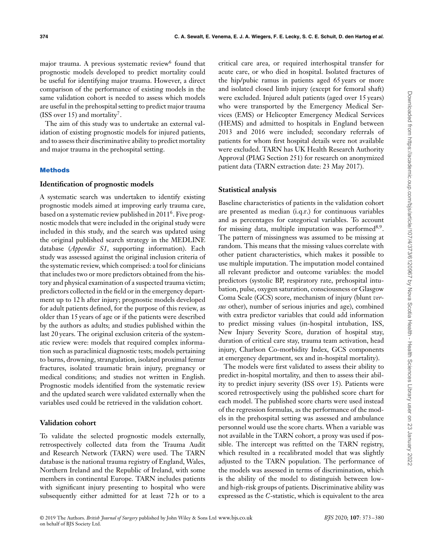major trauma. A previous systematic review<sup>6</sup> found that prognostic models developed to predict mortality could be useful for identifying major trauma. However, a direct comparison of the performance of existing models in the same validation cohort is needed to assess which models are useful in the prehospital setting to predict major trauma (ISS over 15) and mortality<sup>7</sup>.

The aim of this study was to undertake an external validation of existing prognostic models for injured patients, and to assess their discriminative ability to predict mortality and major trauma in the prehospital setting.

## **Methods**

## **Identification of prognostic models**

A systematic search was undertaken to identify existing prognostic models aimed at improving early trauma care, based on a systematic review published in 2011<sup>6</sup>. Five prognostic models that were included in the original study were included in this study, and the search was updated using the original published search strategy in the MEDLINE database (*Appendix S1*, supporting information). Each study was assessed against the original inclusion criteria of the systematic review, which comprised: a tool for clinicians that includes two or more predictors obtained from the history and physical examination of a suspected trauma victim; predictors collected in the field or in the emergency department up to 12 h after injury; prognostic models developed for adult patients defined, for the purpose of this review, as older than 15 years of age or if the patients were described by the authors as adults; and studies published within the last 20 years. The original exclusion criteria of the systematic review were: models that required complex information such as paraclinical diagnostic tests; models pertaining to burns, drowning, strangulation, isolated proximal femur fractures, isolated traumatic brain injury, pregnancy or medical conditions; and studies not written in English. Prognostic models identified from the systematic review and the updated search were validated externally when the variables used could be retrieved in the validation cohort.

### **Validation cohort**

To validate the selected prognostic models externally, retrospectively collected data from the Trauma Audit and Research Network (TARN) were used. The TARN database is the national trauma registry of England, Wales, Northern Ireland and the Republic of Ireland, with some members in continental Europe. TARN includes patients with significant injury presenting to hospital who were subsequently either admitted for at least 72 h or to a

critical care area, or required interhospital transfer for acute care, or who died in hospital. Isolated fractures of the hip/pubic ramus in patients aged 65 years or more and isolated closed limb injury (except for femoral shaft) were excluded. Injured adult patients (aged over 15 years) who were transported by the Emergency Medical Services (EMS) or Helicopter Emergency Medical Services (HEMS) and admitted to hospitals in England between 2013 and 2016 were included; secondary referrals of patients for whom first hospital details were not available were excluded. TARN has UK Health Research Authority Approval (PIAG Section 251) for research on anonymized patient data (TARN extraction date: 23 May 2017).

## **Statistical analysis**

Baseline characteristics of patients in the validation cohort are presented as median (i.q.r.) for continuous variables and as percentages for categorical variables. To account for missing data, multiple imputation was performed8*,*9. The pattern of missingness was assumed to be missing at random. This means that the missing values correlate with other patient characteristics, which makes it possible to use multiple imputation. The imputation model contained all relevant predictor and outcome variables: the model predictors (systolic BP, respiratory rate, prehospital intubation, pulse, oxygen saturation, consciousness or Glasgow Coma Scale (GCS) score, mechanism of injury (blunt *versus* other), number of serious injuries and age), combined with extra predictor variables that could add information to predict missing values (in-hospital intubation, ISS, New Injury Severity Score, duration of hospital stay, duration of critical care stay, trauma team activation, head injury, Charlson Co-morbidity Index, GCS components at emergency department, sex and in-hospital mortality).

The models were first validated to assess their ability to predict in-hospital mortality, and then to assess their ability to predict injury severity (ISS over 15). Patients were scored retrospectively using the published score chart for each model. The published score charts were used instead of the regression formulas, as the performance of the models in the prehospital setting was assessed and ambulance personnel would use the score charts. When a variable was not available in the TARN cohort, a proxy was used if possible. The intercept was refitted on the TARN registry, which resulted in a recalibrated model that was slightly adjusted to the TARN population. The performance of the models was assessed in terms of discrimination, which is the ability of the model to distinguish between lowand high-risk groups of patients. Discriminative ability was expressed as the *C*-statistic, which is equivalent to the area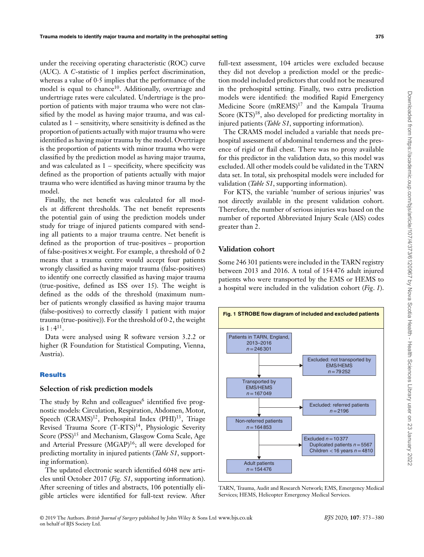under the receiving operating characteristic (ROC) curve (AUC). A *C*-statistic of 1 implies perfect discrimination, whereas a value of 0⋅5 implies that the performance of the model is equal to chance<sup>10</sup>. Additionally, overtriage and undertriage rates were calculated. Undertriage is the proportion of patients with major trauma who were not classified by the model as having major trauma, and was calculated as 1 – sensitivity, where sensitivity is defined as the proportion of patients actually with major trauma who were identified as having major trauma by the model. Overtriage is the proportion of patients with minor trauma who were classified by the prediction model as having major trauma, and was calculated as  $1$  – specificity, where specificity was defined as the proportion of patients actually with major trauma who were identified as having minor trauma by the model.

Finally, the net benefit was calculated for all models at different thresholds. The net benefit represents the potential gain of using the prediction models under study for triage of injured patients compared with sending all patients to a major trauma centre. Net benefit is defined as the proportion of true-positives – proportion of false-positives × weight. For example, a threshold of 0⋅2 means that a trauma centre would accept four patients wrongly classified as having major trauma (false-positives) to identify one correctly classified as having major trauma (true-positive, defined as ISS over 15). The weight is defined as the odds of the threshold (maximum number of patients wrongly classified as having major trauma (false-positives) to correctly classify 1 patient with major trauma (true-positive)). For the threshold of 0⋅2, the weight is  $1:4^{11}$ .

Data were analysed using R software version 3.2.2 or higher (R Foundation for Statistical Computing, Vienna, Austria).

## **Results**

#### **Selection of risk prediction models**

The study by Rehn and colleagues<sup>6</sup> identified five prognostic models: Circulation, Respiration, Abdomen, Motor, Speech  $(CRAMS)^{12}$ , Prehospital Index  $(PHI)^{13}$ , Triage Revised Trauma Score (T-RTS)<sup>14</sup>, Physiologic Severity Score (PSS)<sup>15</sup> and Mechanism, Glasgow Coma Scale, Age and Arterial Pressure (MGAP)<sup>16</sup>; all were developed for predicting mortality in injured patients (*Table S1*, supporting information).

The updated electronic search identified 6048 new articles until October 2017 (*Fig. S1*, supporting information). After screening of titles and abstracts, 106 potentially eligible articles were identified for full-text review. After

full-text assessment, 104 articles were excluded because they did not develop a prediction model or the prediction model included predictors that could not be measured in the prehospital setting. Finally, two extra prediction models were identified: the modified Rapid Emergency Medicine Score (mREMS)17 and the Kampala Trauma Score (KTS)<sup>18</sup>, also developed for predicting mortality in injured patients (*Table S1*, supporting information).

The CRAMS model included a variable that needs prehospital assessment of abdominal tenderness and the presence of rigid or flail chest. There was no proxy available for this predictor in the validation data, so this model was excluded. All other models could be validated in the TARN data set. In total, six prehospital models were included for validation (*Table S1*, supporting information).

For KTS, the variable 'number of serious injuries' was not directly available in the present validation cohort. Therefore, the number of serious injuries was based on the number of reported Abbreviated Injury Scale (AIS) codes greater than 2.

## **Validation cohort**

Some 246 301 patients were included in the TARN registry between 2013 and 2016. A total of 154 476 adult injured patients who were transported by the EMS or HEMS to a hospital were included in the validation cohort (*Fig*. *1*).



TARN, Trauma, Audit and Research Network; EMS, Emergency Medical Services; HEMS, Helicopter Emergency Medical Services.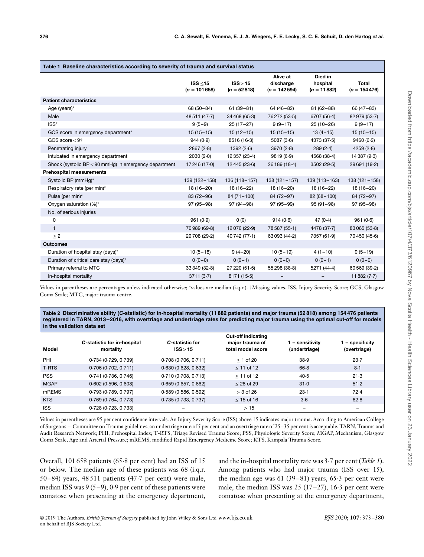| Table 1 Baseline characteristics according to severity of trauma and survival status |                                 |                           |                                         |                                      |                          |  |  |  |  |
|--------------------------------------------------------------------------------------|---------------------------------|---------------------------|-----------------------------------------|--------------------------------------|--------------------------|--|--|--|--|
|                                                                                      | ISS $\leq$ 15<br>$(n = 101658)$ | ISS > 15<br>$(n = 52818)$ | Alive at<br>discharge<br>$(n = 142594)$ | Died in<br>hospital<br>$(n = 11882)$ | Total<br>$(n = 154 476)$ |  |  |  |  |
| <b>Patient characteristics</b>                                                       |                                 |                           |                                         |                                      |                          |  |  |  |  |
| Age (years)*                                                                         | 68 (50 - 84)                    | $61(39-81)$               | $64(46-82)$                             | $81(62 - 88)$                        | 66 (47 - 83)             |  |  |  |  |
| Male                                                                                 | 48 511 (47.7)                   | 34 468 (65.3)             | 76 272 (53.5)                           | 6707 (56.4)                          | 82979 (53.7)             |  |  |  |  |
| ISS*                                                                                 | $9(5-9)$                        | $25(17-27)$               | $9(9-17)$                               | $25(10-26)$                          | $9(9-17)$                |  |  |  |  |
| GCS score in emergency department*                                                   | $15(15-15)$                     | $15(12-15)$               | $15(15-15)$                             | $13(4-15)$                           | $15(15-15)$              |  |  |  |  |
| GCS score $< 9+$                                                                     | 944(0.9)                        | 8516 (16-3)               | 5087(3.6)                               | 4373(37.5)                           | 9460(6.2)                |  |  |  |  |
| Penetrating injury                                                                   | 2867(2.8)                       | 1392(2.6)                 | 3970(2.8)                               | 289(2.4)                             | 4259(2.8)                |  |  |  |  |
| Intubated in emergency department                                                    | 2030(2.0)                       | 12 357 (23.4)             | 9819(6.9)                               | 4568 (38-4)                          | 14 387 (9.3)             |  |  |  |  |
| Shock (systolic BP < 90 mmHg) in emergency department                                | 17 246 (17.0)                   | 12 445 (23.6)             | 26 189 (18-4)                           | 3502(29.5)                           | 29 691 (19-2)            |  |  |  |  |
| <b>Prehospital measurements</b>                                                      |                                 |                           |                                         |                                      |                          |  |  |  |  |
| Systolic BP (mmHg)*                                                                  | 139 (122-158)                   | 136 (118-157)             | $138(121 - 157)$                        | 139 (113-163)                        | $138(121 - 158)$         |  |  |  |  |
| Respiratory rate (per min)*                                                          | $18(16-20)$                     | 18 (16-22)                | $18(16-20)$                             | 18 (16-22)                           | $18(16-20)$              |  |  |  |  |
| Pulse (per min)*                                                                     | $83(72-96)$                     | $84(71-100)$              | $84(72-97)$                             | 82 (68-100)                          | 84 (72-97)               |  |  |  |  |
| Oxygen saturation (%)*                                                               | $97(95-98)$                     | $97(94-98)$               | $97(95-99)$                             | $95(91 - 98)$                        | $97(95-98)$              |  |  |  |  |
| No. of serious injuries                                                              |                                 |                           |                                         |                                      |                          |  |  |  |  |
| 0                                                                                    | 961(0.9)                        | 0(0)                      | 914(0.6)                                | 47(0.4)                              | 961(0.6)                 |  |  |  |  |
| $\mathbf{1}$                                                                         | 70 989 (69.8)                   | 12076 (22.9)              | 78 587 (55.1)                           | 4478 (37.7)                          | 83 065 (53.8)            |  |  |  |  |
| $\geq$ 2                                                                             | 29 708 (29.2)                   | 40742 (77.1)              | 63 093 (44.2)                           | 7357 (61.9)                          | 70450 (45.6)             |  |  |  |  |
| <b>Outcomes</b>                                                                      |                                 |                           |                                         |                                      |                          |  |  |  |  |
| Duration of hospital stay (days)*                                                    | $10(5-18)$                      | $9(4-20)$                 | $10(5-19)$                              | $4(1-10)$                            | $9(5-19)$                |  |  |  |  |
| Duration of critical care stay (days)*                                               | $0(0-0)$                        | $0(0-1)$                  | $0(0-0)$                                | $0(0-1)$                             | $0(0-0)$                 |  |  |  |  |
| Primary referral to MTC                                                              | 33349(32.8)                     | 27 220 (51.5)             | 55 298 (38.8)                           | 5271 (44-4)                          | 60 569 (39.2)            |  |  |  |  |
| In-hospital mortality                                                                | 3711(3.7)                       | 8171 (15.5)               |                                         |                                      | 11882 $(7-7)$            |  |  |  |  |

Values in parentheses are percentages unless indicated otherwise; \*values are median (i.q.r.). †Missing values. ISS, Injury Severity Score; GCS, Glasgow Coma Scale; MTC, major trauma centre.

**Table 2 Discriminative ability (***C***-statistic) for in-hospital mortality (11 882 patients) and major trauma (52 818) among 154 476 patients registered in TARN, 2013–2016, with overtriage and undertriage rates for predicting major trauma using the optimal cut-off for models in the validation data set**

| Model       | C-statistic for in-hospital<br>mortality | C-statistic for<br>ISS > 15 | <b>Cut-off indicating</b><br>major trauma of<br>total model score | – sensitivitv<br>(undertriage) | 1 – specificity<br>(overtriage) |
|-------------|------------------------------------------|-----------------------------|-------------------------------------------------------------------|--------------------------------|---------------------------------|
| PHI         | 0.734 (0.729, 0.739)                     | 0.708(0.706, 0.711)         | $>$ 1 of 20                                                       | 38.9                           | 23.7                            |
| T-RTS       | 0.706(0.702, 0.711)                      | 0.630(0.628, 0.632)         | $<$ 11 of 12                                                      | 66.8                           | 8.1                             |
| <b>PSS</b>  | $0.741$ (0.736, 0.746)                   | 0.710(0.708, 0.713)         | $<$ 11 of 12                                                      | 40.5                           | 21.3                            |
| <b>MGAP</b> | $0.602$ (0.596, 0.608)                   | 0.659(0.657, 0.662)         | $<$ 28 of 29                                                      | 31.0                           | 51.2                            |
| mREMS       | 0.793(0.789, 0.797)                      | 0.589(0.586, 0.592)         | $>$ 3 of 26                                                       | $23-1$                         | 72.4                            |
| <b>KTS</b>  | $0.769$ (0.764, 0.773)                   | 0.735(0.733, 0.737)         | $<$ 15 of 16                                                      | $3-6$                          | 82.8                            |
| <b>ISS</b>  | $0.728$ (0.723, 0.733)                   | -                           | >15                                                               | -                              | -                               |

Values in parentheses are 95 per cent confidence intervals. An Injury Severity Score (ISS) above 15 indicates major trauma. According to American College of Surgeons – Committee on Trauma guidelines, an undertriage rate of 5 per cent and an overtriage rate of 25–35 per cent is acceptable. TARN, Trauma and Audit Research Network; PHI, Prehospital Index; T-RTS, Triage Revised Trauma Score; PSS, Physiologic Severity Score; MGAP, Mechanism, Glasgow Coma Scale, Age and Arterial Pressure; mREMS, modified Rapid Emergency Medicine Score; KTS, Kampala Trauma Score.

Overall, 101 658 patients (65⋅8 per cent) had an ISS of 15 or below. The median age of these patients was 68 (i.q.r. 50–84) years, 48 511 patients (47⋅7 per cent) were male, median ISS was 9 (5–9), 0⋅9 per cent of these patients were comatose when presenting at the emergency department, and the in-hospital mortality rate was 3⋅7 per cent (*Table 1*). Among patients who had major trauma (ISS over 15), the median age was 61 (39–81) years, 65⋅3 per cent were male, the median ISS was  $25(17–27)$ , 16⋅3 per cent were comatose when presenting at the emergency department,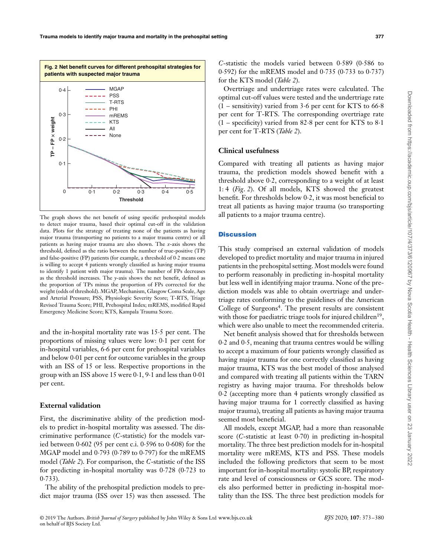

The graph shows the net benefit of using specific prehospital models to detect major trauma, based their optimal cut-off in the validation data. Plots for the strategy of treating none of the patients as having major trauma (transporting no patients to a major trauma centre) or all patients as having major trauma are also shown. The *x*-axis shows the threshold, defined as the ratio between the number of true-positive (TP) and false-positive (FP) patients (for example, a threshold of 0⋅2 means one is willing to accept 4 patients wrongly classified as having major trauma to identify 1 patient with major trauma). The number of FPs decreases as the threshold increases. The *y*-axis shows the net benefit, defined as the proportion of TPs minus the proportion of FPs corrected for the weight (odds of threshold). MGAP, Mechanism, Glasgow Coma Scale, Age and Arterial Pressure; PSS, Physiologic Severity Score; T-RTS, Triage Revised Trauma Score; PHI, Prehospital Index; mREMS, modified Rapid Emergency Medicine Score; KTS, Kampala Trauma Score.

and the in-hospital mortality rate was 15⋅5 per cent. The proportions of missing values were low: 0⋅1 per cent for in-hospital variables, 6⋅6 per cent for prehospital variables and below 0⋅01 per cent for outcome variables in the group with an ISS of 15 or less. Respective proportions in the group with an ISS above 15 were 0⋅1, 9⋅1 and less than 0⋅01 per cent.

## **External validation**

First, the discriminative ability of the prediction models to predict in-hospital mortality was assessed. The discriminative performance (*C*-statistic) for the models varied between 0⋅602 (95 per cent c.i. 0⋅596 to 0⋅608) for the MGAP model and 0⋅793 (0⋅789 to 0⋅797) for the mREMS model (*Table 2*). For comparison, the *C*-statistic of the ISS for predicting in-hospital mortality was  $0.728$  (0⋅723 to 0⋅733).

The ability of the prehospital prediction models to predict major trauma (ISS over 15) was then assessed. The *C*-statistic the models varied between 0⋅589 (0⋅586 to 0⋅592) for the mREMS model and 0⋅735 (0⋅733 to 0⋅737) for the KTS model (*Table 2*).

Overtriage and undertriage rates were calculated. The optimal cut-off values were tested and the undertriage rate (1 – sensitivity) varied from 3⋅6 per cent for KTS to 66⋅8 per cent for T-RTS. The corresponding overtriage rate (1 – specificity) varied from 82⋅8 per cent for KTS to 8⋅1 per cent for T-RTS (*Table 2*).

## **Clinical usefulness**

Compared with treating all patients as having major trauma, the prediction models showed benefit with a threshold above 0⋅2, corresponding to a weight of at least 1: 4 (*Fig*. *2*). Of all models, KTS showed the greatest benefit. For thresholds below 0⋅2, it was most beneficial to treat all patients as having major trauma (so transporting all patients to a major trauma centre).

## **Discussion**

This study comprised an external validation of models developed to predict mortality and major trauma in injured patients in the prehospital setting. Most models were found to perform reasonably in predicting in-hospital mortality but less well in identifying major trauma. None of the prediction models was able to obtain overtriage and undertriage rates conforming to the guidelines of the American College of Surgeons<sup>4</sup>. The present results are consistent with those for paediatric triage tools for injured children<sup>19</sup>, which were also unable to meet the recommended criteria.

Net benefit analysis showed that for thresholds between 0⋅2 and 0⋅5, meaning that trauma centres would be willing to accept a maximum of four patients wrongly classified as having major trauma for one correctly classified as having major trauma, KTS was the best model of those analysed and compared with treating all patients within the TARN registry as having major trauma. For thresholds below 0⋅2 (accepting more than 4 patients wrongly classified as having major trauma for 1 correctly classified as having major trauma), treating all patients as having major trauma seemed most beneficial.

All models, except MGAP, had a more than reasonable score (*C*-statistic at least 0⋅70) in predicting in-hospital mortality. The three best prediction models for in-hospital mortality were mREMS, KTS and PSS. These models included the following predictors that seem to be most important for in-hospital mortality: systolic BP, respiratory rate and level of consciousness or GCS score. The models also performed better in predicting in-hospital mortality than the ISS. The three best prediction models for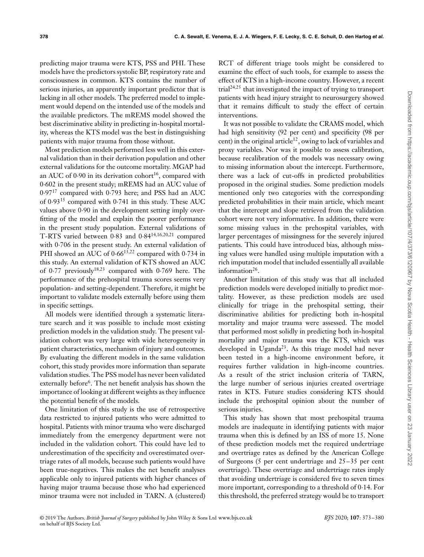predicting major trauma were KTS, PSS and PHI. These models have the predictors systolic BP, respiratory rate and consciousness in common. KTS contains the number of serious injuries, an apparently important predictor that is lacking in all other models. The preferred model to implement would depend on the intended use of the models and the available predictors. The mREMS model showed the best discriminative ability in predicting in-hospital mortality, whereas the KTS model was the best in distinguishing patients with major trauma from those without.

Most prediction models performed less well in this external validation than in their derivation population and other external validations for the outcome mortality. MGAP had an AUC of 0⋅90 in its derivation cohort<sup>16</sup>, compared with 0⋅602 in the present study; mREMS had an AUC value of 0⋅97<sup>17</sup> compared with 0⋅793 here; and PSS had an AUC of 0⋅93<sup>15</sup> compared with 0⋅741 in this study. These AUC values above 0.90 in the development setting imply overfitting of the model and explain the poorer performance in the present study population. External validations of T-RTS varied between 0⋅83 and 0⋅84<sup>14</sup>*,*16*,*20*,*<sup>21</sup> compared with 0⋅706 in the present study. An external validation of PHI showed an AUC of 0⋅66<sup>13</sup>*,*<sup>22</sup> compared with 0⋅734 in this study. An external validation of KTS showed an AUC of 0⋅77 previously<sup>18</sup>*,*<sup>23</sup> compared with 0⋅769 here. The performance of the prehospital trauma scores seems very population- and setting-dependent. Therefore, it might be important to validate models externally before using them in specific settings.

All models were identified through a systematic literature search and it was possible to include most existing prediction models in the validation study. The present validation cohort was very large with wide heterogeneity in patient characteristics, mechanism of injury and outcomes. By evaluating the different models in the same validation cohort, this study provides more information than separate validation studies. The PSS model has never been validated externally before<sup>6</sup>. The net benefit analysis has shown the importance of looking at different weights as they influence the potential benefit of the models.

One limitation of this study is the use of retrospective data restricted to injured patients who were admitted to hospital. Patients with minor trauma who were discharged immediately from the emergency department were not included in the validation cohort. This could have led to underestimation of the specificity and overestimated overtriage rates of all models, because such patients would have been true-negatives. This makes the net benefit analyses applicable only to injured patients with higher chances of having major trauma because those who had experienced minor trauma were not included in TARN. A (clustered)

RCT of different triage tools might be considered to examine the effect of such tools, for example to assess the effect of KTS in a high-income country. However, a recent trial24*,*<sup>25</sup> that investigated the impact of trying to transport patients with head injury straight to neurosurgery showed that it remains difficult to study the effect of certain interventions.

It was not possible to validate the CRAMS model, which had high sensitivity (92 per cent) and specificity (98 per cent) in the original article<sup>12</sup>, owing to lack of variables and proxy variables. Nor was it possible to assess calibration, because recalibration of the models was necessary owing to missing information about the intercept. Furthermore, there was a lack of cut-offs in predicted probabilities proposed in the original studies. Some prediction models mentioned only two categories with the corresponding predicted probabilities in their main article, which meant that the intercept and slope retrieved from the validation cohort were not very informative. In addition, there were some missing values in the prehospital variables, with larger percentages of missingness for the severely injured patients. This could have introduced bias, although missing values were handled using multiple imputation with a rich imputation model that included essentially all available information<sup>26</sup>.

Another limitation of this study was that all included prediction models were developed initially to predict mortality. However, as these prediction models are used clinically for triage in the prehospital setting, their discriminative abilities for predicting both in-hospital mortality and major trauma were assessed. The model that performed most solidly in predicting both in-hospital mortality and major trauma was the KTS, which was developed in Uganda<sup>23</sup>. As this triage model had never been tested in a high-income environment before, it requires further validation in high-income countries. As a result of the strict inclusion criteria of TARN, the large number of serious injuries created overtriage rates in KTS. Future studies considering KTS should include the prehospital opinion about the number of serious injuries.

This study has shown that most prehospital trauma models are inadequate in identifying patients with major trauma when this is defined by an ISS of more 15. None of these prediction models met the required undertriage and overtriage rates as defined by the American College of Surgeons (5 per cent undertriage and 25–35 per cent overtriage). These overtriage and undertriage rates imply that avoiding undertriage is considered five to seven times more important, corresponding to a threshold of 0⋅14. For this threshold, the preferred strategy would be to transport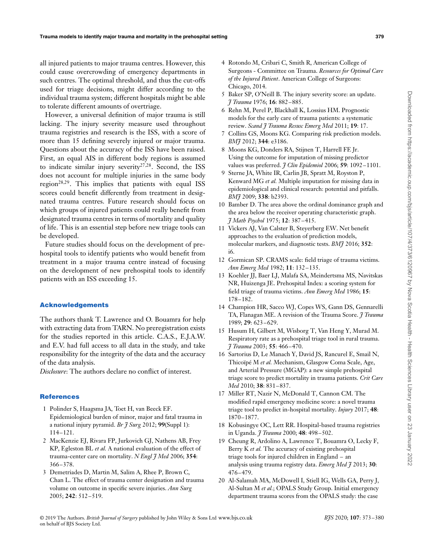all injured patients to major trauma centres. However, this could cause overcrowding of emergency departments in such centres. The optimal threshold, and thus the cut-offs used for triage decisions, might differ according to the individual trauma system; different hospitals might be able to tolerate different amounts of overtriage.

However, a universal definition of major trauma is still lacking. The injury severity measure used throughout trauma registries and research is the ISS, with a score of more than 15 defining severely injured or major trauma. Questions about the accuracy of the ISS have been raised. First, an equal AIS in different body regions is assumed to indicate similar injury severity<sup>27,28</sup>. Second, the ISS does not account for multiple injuries in the same body region<sup>28,29</sup>. This implies that patients with equal ISS scores could benefit differently from treatment in designated trauma centres. Future research should focus on which groups of injured patients could really benefit from designated trauma centres in terms of mortality and quality of life. This is an essential step before new triage tools can be developed.

Future studies should focus on the development of prehospital tools to identify patients who would benefit from treatment in a major trauma centre instead of focusing on the development of new prehospital tools to identify patients with an ISS exceeding 15.

## **Acknowledgements**

The authors thank T. Lawrence and O. Bouamra for help with extracting data from TARN. No preregistration exists for the studies reported in this article. C.A.S., E.J.A.W. and E.V. had full access to all data in the study, and take responsibility for the integrity of the data and the accuracy of the data analysis.

*Disclosure*: The authors declare no conflict of interest.

#### **References**

- 1 Polinder S, Haagsma JA, Toet H, van Beeck EF. Epidemiological burden of minor, major and fatal trauma in a national injury pyramid. *Br J Surg* 2012; **99**(Suppl 1): 114–121.
- 2 MacKenzie EJ, Rivara FP, Jurkovich GJ, Nathens AB, Frey KP, Egleston BL *et al.* A national evaluation of the effect of trauma-center care on mortality. *N Engl J Med* 2006; **354**: 366–378.
- 3 Demetriades D, Martin M, Salim A, Rhee P, Brown C, Chan L. The effect of trauma center designation and trauma volume on outcome in specific severe injuries. *Ann Surg* 2005; **242**: 512–519.
- 4 Rotondo M, Cribari C, Smith R, American College of Surgeons - Committee on Trauma. *Resources for Optimal Care of the Injured Patient*. American College of Surgeons: Chicago, 2014.
- 5 Baker SP, O'Neill B. The injury severity score: an update. *J Trauma* 1976; **16**: 882–885.
- 6 Rehn M, Perel P, Blackhall K, Lossius HM. Prognostic models for the early care of trauma patients: a systematic review. *Scand J Trauma Resusc Emerg Med* 2011; **19**: 17.
- 7 Collins GS, Moons KG. Comparing risk prediction models. *BMJ* 2012; **344**: e3186.
- 8 Moons KG, Donders RA, Stijnen T, Harrell FE Jr. Using the outcome for imputation of missing predictor values was preferred. *J Clin Epidemiol* 2006; **59**: 1092–1101.
- 9 Sterne JA, White IR, Carlin JB, Spratt M, Royston P, Kenward MG *et al.* Multiple imputation for missing data in epidemiological and clinical research: potential and pitfalls. *BMJ* 2009; **338**: b2393.
- 10 Bamber D. The area above the ordinal dominance graph and the area below the receiver operating characteristic graph. *J Math Psychol* 1975; **12**: 387–415.
- 11 Vickers AJ, Van Calster B, Steyerberg EW. Net benefit approaches to the evaluation of prediction models, molecular markers, and diagnostic tests. *BMJ* 2016; **352**: i6.
- 12 Gormican SP. CRAMS scale: field triage of trauma victims. *Ann Emerg Med* 1982; **11**: 132–135.
- 13 Koehler JJ, Baer LJ, Malafa SA, Meindertsma MS, Navitskas NR, Huizenga JE. Prehospital Index: a scoring system for field triage of trauma victims. *Ann Emerg Med* 1986; **15**: 178–182.
- 14 Champion HR, Sacco WJ, Copes WS, Gann DS, Gennarelli TA, Flanagan ME. A revision of the Trauma Score. *J Trauma* 1989; **29**: 623–629.
- 15 Husum H, Gilbert M, Wisborg T, Van Heng Y, Murad M. Respiratory rate as a prehospital triage tool in rural trauma. *J Trauma* 2003; **55**: 466–470.
- 16 Sartorius D, Le Manach Y, David JS, Rancurel E, Smail N, Thicoïpé M *et al.* Mechanism, Glasgow Coma Scale, Age, and Arterial Pressure (MGAP): a new simple prehospital triage score to predict mortality in trauma patients. *Crit Care Med* 2010; **38**: 831–837.
- 17 Miller RT, Nazir N, McDonald T, Cannon CM. The modified rapid emergency medicine score: a novel trauma triage tool to predict in-hospital mortality. *Injury* 2017; **48**: 1870–1877.
- 18 Kobusingye OC, Lett RR. Hospital-based trauma registries in Uganda. *J Trauma* 2000; **48**: 498–502.
- 19 Cheung R, Ardolino A, Lawrence T, Bouamra O, Lecky F, Berry K *et al.* The accuracy of existing prehospital triage tools for injured children in England – an analysis using trauma registry data. *Emerg Med J* 2013; **30**: 476–479.
- 20 Al-Salamah MA, McDowell I, Stiell IG, Wells GA, Perry J, Al-Sultan M *et al.*; OPALS Study Group. Initial emergency department trauma scores from the OPALS study: the case